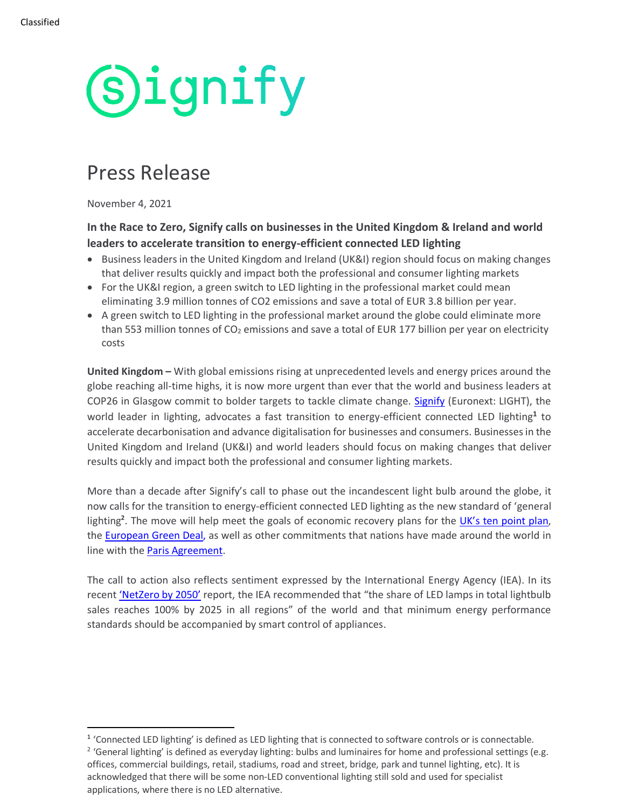# **Signify**

### Press Release

November 4, 2021

#### **In the Race to Zero, Signify calls on businesses in the United Kingdom & Ireland and world leaders to accelerate transition to energy-efficient connected LED lighting**

- Business leaders in the United Kingdom and Ireland (UK&I) region should focus on making changes that deliver results quickly and impact both the professional and consumer lighting markets
- For the UK&I region, a green switch to LED lighting in the professional market could mean eliminating 3.9 million tonnes of CO2 emissions and save a total of EUR 3.8 billion per year.
- A green switch to LED lighting in the professional market around the globe could eliminate more than 553 million tonnes of  $CO<sub>2</sub>$  emissions and save a total of EUR 177 billion per year on electricity costs

**United Kingdom –** With global emissions rising at unprecedented levels and energy prices around the globe reaching all-time highs, it is now more urgent than ever that the world and business leaders at COP26 in Glasgow commit to bolder targets to tackle climate change. [Signify](https://www.signify.com/) (Euronext: LIGHT), the world leader in lighting, advocates a fast transition to energy-efficient connected LED lighting**<sup>1</sup>** to accelerate decarbonisation and advance digitalisation for businesses and consumers. Businesses in the United Kingdom and Ireland (UK&I) and world leaders should focus on making changes that deliver results quickly and impact both the professional and consumer lighting markets.

More than a decade after Signify's call to phase out the incandescent light bulb around the globe, it now calls for the transition to energy-efficient connected LED lighting as the new standard of 'general lighting<sup>2</sup>. The move will help meet the goals of economic recovery plans for the *[UK's ten point plan](https://www.gov.uk/government/publications/the-ten-point-plan-for-a-green-industrial-revolution),* the [European Green Deal,](https://ec.europa.eu/info/strategy/priorities-2019-2024/european-green-deal_en) as well as other commitments that nations have made around the world in line with the [Paris Agreement.](https://ec.europa.eu/clima/policies/international/negotiations/paris_en)

The call to action also reflects sentiment expressed by the International Energy Agency (IEA). In its recent ['NetZero by 2050'](https://www.iea.org/reports/net-zero-by-2050) report, the IEA recommended that "the share of LED lamps in total lightbulb sales reaches 100% by 2025 in all regions" of the world and that minimum energy performance standards should be accompanied by smart control of appliances.

<sup>&</sup>lt;sup>1</sup> 'Connected LED lighting' is defined as LED lighting that is connected to software controls or is connectable.

<sup>&</sup>lt;sup>2</sup> 'General lighting' is defined as everyday lighting: bulbs and luminaires for home and professional settings (e.g. offices, commercial buildings, retail, stadiums, road and street, bridge, park and tunnel lighting, etc). It is acknowledged that there will be some non-LED conventional lighting still sold and used for specialist applications, where there is no LED alternative.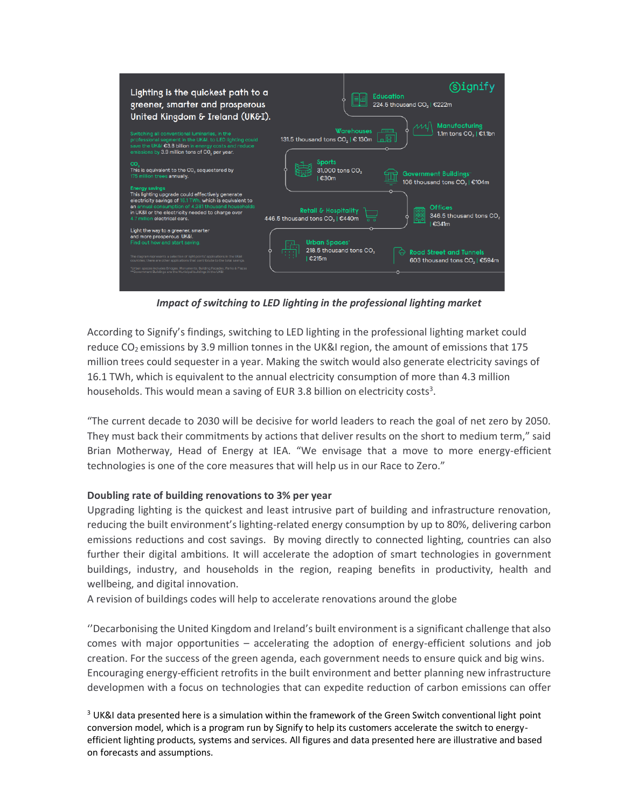

*Impact of switching to LED lighting in the professional lighting market*

According to Signify's findings, switching to LED lighting in the professional lighting market could reduce  $CO<sub>2</sub>$  emissions by 3.9 million tonnes in the UK&I region, the amount of emissions that 175 million trees could sequester in a year. Making the switch would also generate electricity savings of 16.1 TWh, which is equivalent to the annual electricity consumption of more than 4.3 million households. This would mean a saving of EUR 3.8 billion on electricity costs<sup>3</sup>.

"The current decade to 2030 will be decisive for world leaders to reach the goal of net zero by 2050. They must back their commitments by actions that deliver results on the short to medium term," said Brian Motherway, Head of Energy at IEA. "We envisage that a move to more energy-efficient technologies is one of the core measures that will help us in our Race to Zero."

#### **Doubling rate of building renovations to 3% per year**

Upgrading lighting is the quickest and least intrusive part of building and infrastructure renovation, reducing the built environment's lighting-related energy consumption by up to 80%, delivering carbon emissions reductions and cost savings. By moving directly to connected lighting, countries can also further their digital ambitions. It will accelerate the adoption of smart technologies in government buildings, industry, and households in the region, reaping benefits in productivity, health and wellbeing, and digital innovation.

A revision of buildings codes will help to accelerate renovations around the globe

''Decarbonising the United Kingdom and Ireland's built environment is a significant challenge that also comes with major opportunities – accelerating the adoption of energy-efficient solutions and job creation. For the success of the green agenda, each government needs to ensure quick and big wins. Encouraging energy-efficient retrofits in the built environment and better planning new infrastructure developmen with a focus on technologies that can expedite reduction of carbon emissions can offer

<sup>3</sup> UK&I data presented here is a simulation within the framework of the Green Switch conventional light point conversion model, which is a program run by Signify to help its customers accelerate the switch to energyefficient lighting products, systems and services. All figures and data presented here are illustrative and based on forecasts and assumptions.